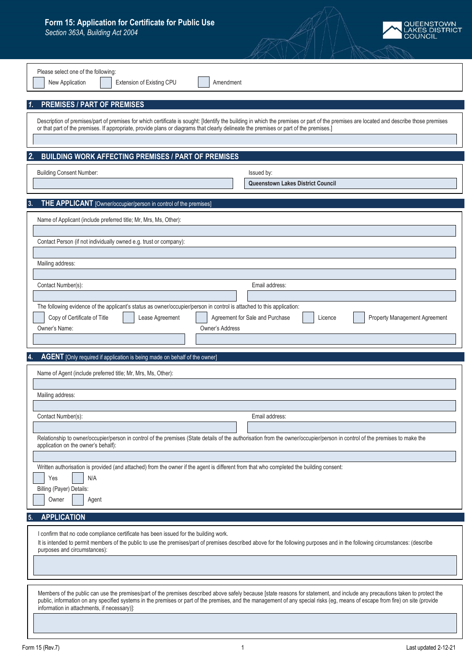## **Form 15: Application for Certificate for Public Use**

*Section 363A, Building Act 2004*



| Please select one of the following:<br>New Application<br>Extension of Existing CPU<br>Amendment                                                                                                                                                                                                     |                                                                                                                                                                                        |
|------------------------------------------------------------------------------------------------------------------------------------------------------------------------------------------------------------------------------------------------------------------------------------------------------|----------------------------------------------------------------------------------------------------------------------------------------------------------------------------------------|
| <b>PREMISES / PART OF PREMISES</b>                                                                                                                                                                                                                                                                   |                                                                                                                                                                                        |
| or that part of the premises. If appropriate, provide plans or diagrams that clearly delineate the premises or part of the premises.]                                                                                                                                                                | Description of premises/part of premises for which certificate is sought: [Identify the building in which the premises or part of the premises are located and describe those premises |
| <b>BUILDING WORK AFFECTING PREMISES / PART OF PREMISES</b><br>2.                                                                                                                                                                                                                                     |                                                                                                                                                                                        |
| <b>Building Consent Number:</b>                                                                                                                                                                                                                                                                      | Issued by:<br>Queenstown Lakes District Council                                                                                                                                        |
| THE APPLICANT [Owner/occupier/person in control of the premises]                                                                                                                                                                                                                                     |                                                                                                                                                                                        |
| Name of Applicant (include preferred title; Mr, Mrs, Ms, Other):                                                                                                                                                                                                                                     |                                                                                                                                                                                        |
| Contact Person (if not individually owned e.g. trust or company):                                                                                                                                                                                                                                    |                                                                                                                                                                                        |
| Mailing address:                                                                                                                                                                                                                                                                                     |                                                                                                                                                                                        |
| Contact Number(s):                                                                                                                                                                                                                                                                                   | Email address:                                                                                                                                                                         |
| The following evidence of the applicant's status as owner/occupier/person in control is attached to this application:<br>Copy of Certificate of Title<br>Lease Agreement<br>Owner's Name:<br>Owner's Address                                                                                         | Agreement for Sale and Purchase<br>Licence<br>Property Management Agreement                                                                                                            |
| AGENT [Only required if application is being made on behalf of the owner]                                                                                                                                                                                                                            |                                                                                                                                                                                        |
| Name of Agent (include preferred title; Mr, Mrs, Ms, Other):                                                                                                                                                                                                                                         |                                                                                                                                                                                        |
| Mailing address:                                                                                                                                                                                                                                                                                     |                                                                                                                                                                                        |
| Contact Number(s):                                                                                                                                                                                                                                                                                   | Email address:                                                                                                                                                                         |
| Relationship to owner/occupier/person in control of the premises (State details of the authorisation from the owner/occupier/person in control of the premises to make the<br>application on the owner's behalf):                                                                                    |                                                                                                                                                                                        |
| Written authorisation is provided (and attached) from the owner if the agent is different from that who completed the building consent:<br>N/A<br>Yes<br>Billing (Payer) Details:<br>Owner<br>Agent                                                                                                  |                                                                                                                                                                                        |
| <b>APPLICATION</b><br>-5.                                                                                                                                                                                                                                                                            |                                                                                                                                                                                        |
| I confirm that no code compliance certificate has been issued for the building work.<br>It is intended to permit members of the public to use the premises/part of premises described above for the following purposes and in the following circumstances: (describe<br>purposes and circumstances): |                                                                                                                                                                                        |
|                                                                                                                                                                                                                                                                                                      |                                                                                                                                                                                        |